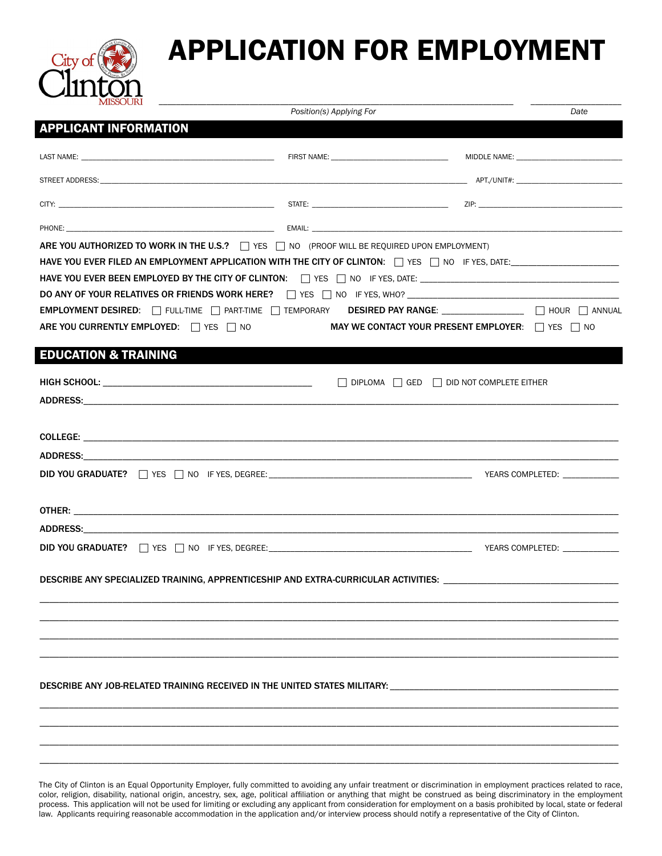

# APPLICATION FOR EMPLOYMENT

| <b>MISSOURI</b>                                                                                                                                                                                                                                                                                                                                                                                        | Position(s) Applying For |                                                | Date |
|--------------------------------------------------------------------------------------------------------------------------------------------------------------------------------------------------------------------------------------------------------------------------------------------------------------------------------------------------------------------------------------------------------|--------------------------|------------------------------------------------|------|
| <b>APPLICANT INFORMATION</b>                                                                                                                                                                                                                                                                                                                                                                           |                          |                                                |      |
|                                                                                                                                                                                                                                                                                                                                                                                                        |                          |                                                |      |
|                                                                                                                                                                                                                                                                                                                                                                                                        |                          |                                                |      |
|                                                                                                                                                                                                                                                                                                                                                                                                        |                          |                                                |      |
|                                                                                                                                                                                                                                                                                                                                                                                                        |                          |                                                |      |
| ARE YOU AUTHORIZED TO WORK IN THE U.S.? TWEST NO (PROOF WILL BE REQUIRED UPON EMPLOYMENT)<br>HAVE YOU EVER BEEN EMPLOYED BY THE CITY OF CLINTON: CONSIDERING IN THES, DATE: CONSIDER THES, THES, THES, DATE:<br>EMPLOYMENT DESIRED: THE LITTIME THE RETTIME TEMPORARY DESIRED PAY RANGE: THE RETTIME THOUR THE ANNUAL<br>ARE YOU CURRENTLY EMPLOYED: The YES The NO<br><b>EDUCATION &amp; TRAINING</b> |                          | MAY WE CONTACT YOUR PRESENT EMPLOYER: TWES TWO |      |
|                                                                                                                                                                                                                                                                                                                                                                                                        |                          |                                                |      |
|                                                                                                                                                                                                                                                                                                                                                                                                        |                          | DIPLOMA GED DID NOT COMPLETE EITHER            |      |
|                                                                                                                                                                                                                                                                                                                                                                                                        |                          |                                                |      |
|                                                                                                                                                                                                                                                                                                                                                                                                        |                          |                                                |      |
|                                                                                                                                                                                                                                                                                                                                                                                                        |                          |                                                |      |
|                                                                                                                                                                                                                                                                                                                                                                                                        |                          |                                                |      |
|                                                                                                                                                                                                                                                                                                                                                                                                        |                          |                                                |      |
| ADDRESS: AND THE CONTROL OF THE CONTROL OF THE CONTROL OF THE CONTROL OF THE CONTROL OF THE CONTROL OF THE CONTROL OF THE CONTROL OF THE CONTROL OF THE CONTROL OF THE CONTROL OF THE CONTROL OF THE CONTROL OF THE CONTROL OF                                                                                                                                                                         |                          |                                                |      |
|                                                                                                                                                                                                                                                                                                                                                                                                        |                          |                                                |      |
| DESCRIBE ANY SPECIALIZED TRAINING, APPRENTICESHIP AND EXTRA-CURRICULAR ACTIVITIES:                                                                                                                                                                                                                                                                                                                     |                          |                                                |      |
|                                                                                                                                                                                                                                                                                                                                                                                                        |                          |                                                |      |
| DESCRIBE ANY JOB-RELATED TRAINING RECEIVED IN THE UNITED STATES MILITARY: _________________________                                                                                                                                                                                                                                                                                                    |                          |                                                |      |
|                                                                                                                                                                                                                                                                                                                                                                                                        |                          |                                                |      |

The City of Clinton is an Equal Opportunity Employer, fully committed to avoiding any unfair treatment or discrimination in employment practices related to race, color, religion, disability, national origin, ancestry, sex, age, political affiliation or anything that might be construed as being discriminatory in the employment process. This application will not be used for limiting or excluding any applicant from consideration for employment on a basis prohibited by local, state or federal law. Applicants requiring reasonable accommodation in the application and/or interview process should notify a representative of the City of Clinton.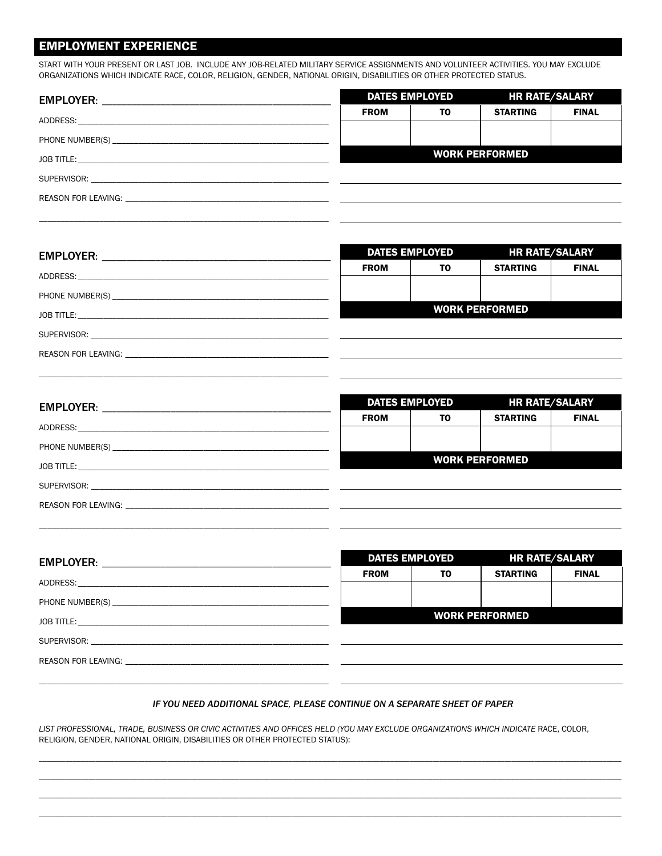#### **EMPLOYMENT EXPERIENCE**

START WITH YOUR PRESENT OR LAST JOB. INCLUDE ANY JOB-RELATED MILITARY SERVICE ASSIGNMENTS AND VOLUNTEER ACTIVITIES. YOU MAY EXCLUDE ORGANIZATIONS WHICH INDICATE RACE, COLOR, RELIGION, GENDER, NATIONAL ORIGIN, DISABILITIES OR OTHER PROTECTED STATUS.

| <b>DATES EMPLOYED</b> |                | <b>HR RATE/SALARY</b> |              |
|-----------------------|----------------|-----------------------|--------------|
| <b>FROM</b>           | T <sub>0</sub> | <b>STARTING</b>       | <b>FINAL</b> |
|                       |                |                       |              |
|                       |                | <b>WORK PERFORMED</b> |              |
|                       |                |                       |              |
|                       |                |                       |              |

|                                                                                                                                                                                                                                | <b>DATES EMPLOYED</b> |    | <b>HR RATE/SALARY</b> |              |
|--------------------------------------------------------------------------------------------------------------------------------------------------------------------------------------------------------------------------------|-----------------------|----|-----------------------|--------------|
|                                                                                                                                                                                                                                | <b>FROM</b>           | ΤO | <b>STARTING</b>       | <b>FINAL</b> |
|                                                                                                                                                                                                                                |                       |    |                       |              |
|                                                                                                                                                                                                                                |                       |    | <b>WORK PERFORMED</b> |              |
|                                                                                                                                                                                                                                |                       |    |                       |              |
| REASON FOR LEAVING: University of the contract of the contract of the contract of the contract of the contract of the contract of the contract of the contract of the contract of the contract of the contract of the contract |                       |    |                       |              |
|                                                                                                                                                                                                                                |                       |    |                       |              |

| <b>DATES EMPLOYED</b> |    | <b>HR RATE/SALARY</b> |              |
|-----------------------|----|-----------------------|--------------|
| <b>FROM</b>           | ΤO | <b>STARTING</b>       | <b>FINAL</b> |
|                       |    |                       |              |
|                       |    | <b>WORK PERFORMED</b> |              |
|                       |    |                       |              |
|                       |    |                       |              |

| <b>DATES EMPLOYED</b> |    | <b>HR RATE/SALARY</b> |              |
|-----------------------|----|-----------------------|--------------|
| <b>FROM</b>           | ΤO | <b>STARTING</b>       | <b>FINAL</b> |
|                       |    |                       |              |
|                       |    | <b>WORK PERFORMED</b> |              |
|                       |    |                       |              |
|                       |    |                       |              |
|                       |    |                       |              |

#### IF YOU NEED ADDITIONAL SPACE, PLEASE CONTINUE ON A SEPARATE SHEET OF PAPER

LIST PROFESSIONAL, TRADE, BUSINESS OR CIVIC ACTIVITIES AND OFFICES HELD (YOU MAY EXCLUDE ORGANIZATIONS WHICH INDICATE RACE, COLOR, RELIGION, GENDER, NATIONAL ORIGIN, DISABILITIES OR OTHER PROTECTED STATUS):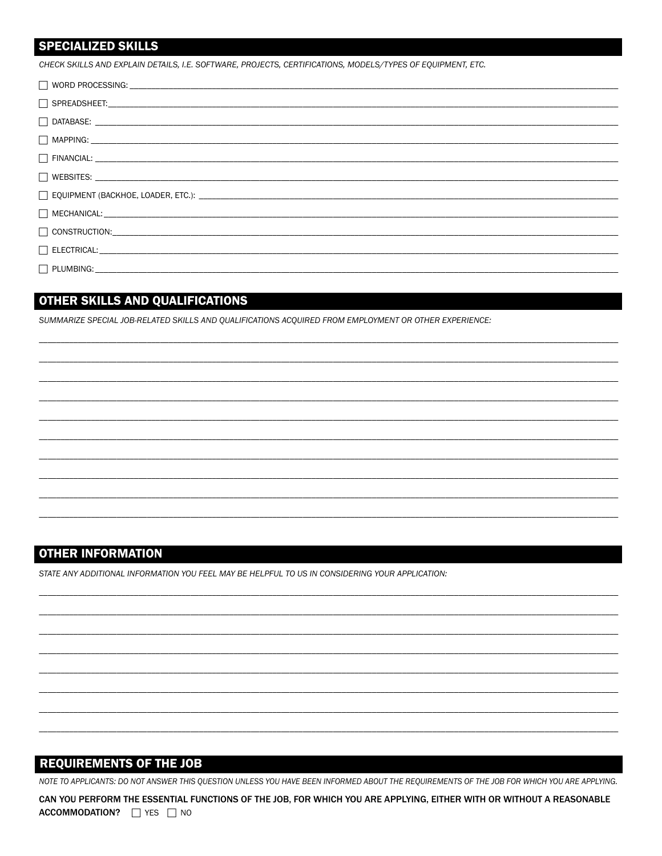#### **SPECIALIZED SKILLS**

CHECK SKILLS AND EXPLAIN DETAILS, I.E. SOFTWARE, PROJECTS, CERTIFICATIONS, MODELS/TYPES OF EQUIPMENT, ETC.

### OTHER SKILLS AND QUALIFICATIONS

SUMMARIZE SPECIAL JOB-RELATED SKILLS AND QUALIFICATIONS ACQUIRED FROM EMPLOYMENT OR OTHER EXPERIENCE:

#### **OTHER INFORMATION**

STATE ANY ADDITIONAL INFORMATION YOU FEEL MAY BE HELPFUL TO US IN CONSIDERING YOUR APPLICATION:

#### **REQUIREMENTS OF THE JOB**

NOTE TO APPLICANTS: DO NOT ANSWER THIS QUESTION UNLESS YOU HAVE BEEN INFORMED ABOUT THE REQUIREMENTS OF THE JOB FOR WHICH YOU ARE APPLYING.

CAN YOU PERFORM THE ESSENTIAL FUNCTIONS OF THE JOB, FOR WHICH YOU ARE APPLYING, EITHER WITH OR WITHOUT A REASONABLE ACCOMMODATION? THES TIME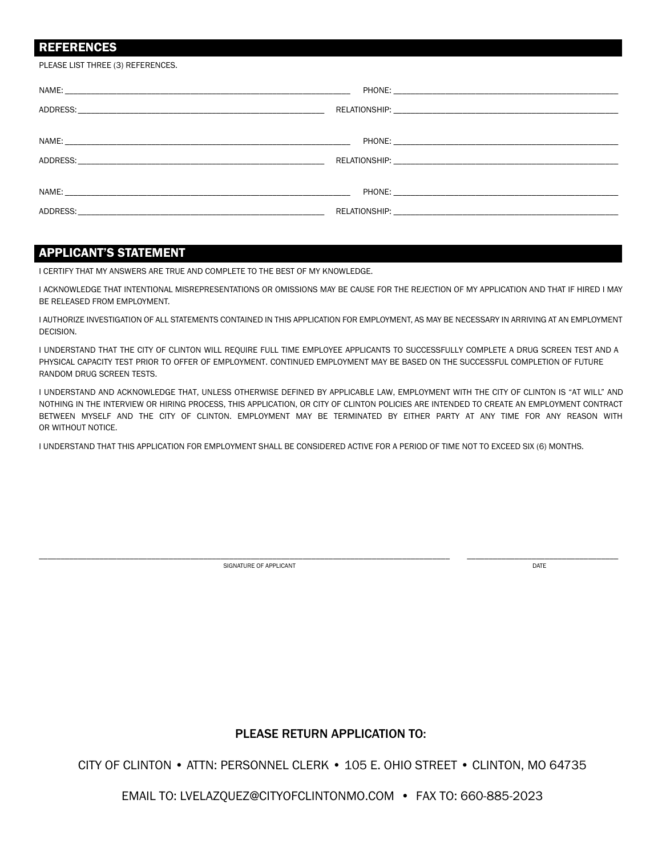#### REFERENCES

PLEASE LIST THREE (3) REFERENCES.

#### APPLICANT'S STATEMENT

I CERTIFY THAT MY ANSWERS ARE TRUE AND COMPLETE TO THE BEST OF MY KNOWLEDGE.

I ACKNOWLEDGE THAT INTENTIONAL MISREPRESENTATIONS OR OMISSIONS MAY BE CAUSE FOR THE REJECTION OF MY APPLICATION AND THAT IF HIRED I MAY BE RELEASED FROM EMPLOYMENT.

I AUTHORIZE INVESTIGATION OF ALL STATEMENTS CONTAINED IN THIS APPLICATION FOR EMPLOYMENT, AS MAY BE NECESSARY IN ARRIVING AT AN EMPLOYMENT DECISION.

I UNDERSTAND THAT THE CITY OF CLINTON WILL REQUIRE FULL TIME EMPLOYEE APPLICANTS TO SUCCESSFULLY COMPLETE A DRUG SCREEN TEST AND A PHYSICAL CAPACITY TEST PRIOR TO OFFER OF EMPLOYMENT. CONTINUED EMPLOYMENT MAY BE BASED ON THE SUCCESSFUL COMPLETION OF FUTURE RANDOM DRUG SCREEN TESTS.

I UNDERSTAND AND ACKNOWLEDGE THAT, UNLESS OTHERWISE DEFINED BY APPLICABLE LAW, EMPLOYMENT WITH THE CITY OF CLINTON IS "AT WILL" AND NOTHING IN THE INTERVIEW OR HIRING PROCESS, THIS APPLICATION, OR CITY OF CLINTON POLICIES ARE INTENDED TO CREATE AN EMPLOYMENT CONTRACT BETWEEN MYSELF AND THE CITY OF CLINTON. EMPLOYMENT MAY BE TERMINATED BY EITHER PARTY AT ANY TIME FOR ANY REASON WITH OR WITHOUT NOTICE.

I UNDERSTAND THAT THIS APPLICATION FOR EMPLOYMENT SHALL BE CONSIDERED ACTIVE FOR A PERIOD OF TIME NOT TO EXCEED SIX (6) MONTHS.

SIGNATURE OF APPLICANT **DATE** 

\_\_\_\_\_\_\_\_\_\_\_\_\_\_\_\_\_\_\_\_\_\_\_\_\_\_\_\_\_\_\_\_\_\_\_\_\_\_\_\_\_\_\_\_\_\_\_\_\_\_\_\_\_\_\_\_\_\_\_\_\_\_\_\_\_\_\_\_\_\_\_\_\_\_\_\_\_\_\_\_\_\_\_\_\_\_\_\_\_\_\_\_\_\_\_ \_\_\_\_\_\_\_\_\_\_\_\_\_\_\_\_\_\_\_\_\_\_\_\_\_\_\_\_\_\_\_\_\_\_\_

#### PLEASE RETURN APPLICATION TO:

CITY OF CLINTON • ATTN: PERSONNEL CLERK • 105 E. OHIO STREET • CLINTON, MO 64735

EMAIL TO: LVELAZQUEZ@CITYOFCLINTONMO.COM • FAX TO: 660-885-2023